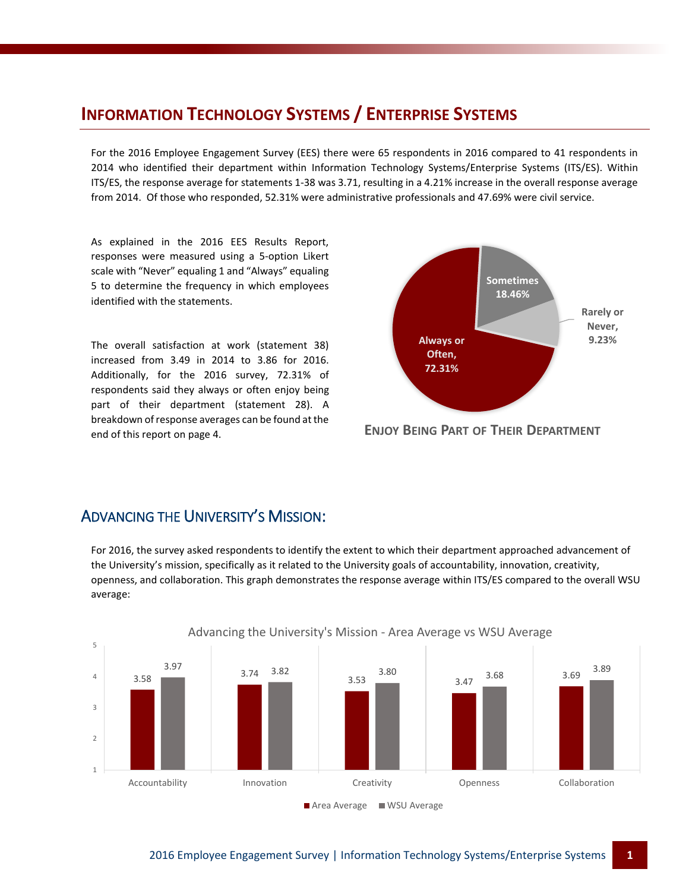# **INFORMATION TECHNOLOGY SYSTEMS / ENTERPRISE SYSTEMS**

For the 2016 Employee Engagement Survey (EES) there were 65 respondents in 2016 compared to 41 respondents in 2014 who identified their department within Information Technology Systems/Enterprise Systems (ITS/ES). Within ITS/ES, the response average for statements 1-38 was 3.71, resulting in a 4.21% increase in the overall response average from 2014. Of those who responded, 52.31% were administrative professionals and 47.69% were civil service.

As explained in the 2016 EES Results Report, responses were measured using a 5-option Likert scale with "Never" equaling 1 and "Always" equaling 5 to determine the frequency in which employees identified with the statements.

The overall satisfaction at work (statement 38) increased from 3.49 in 2014 to 3.86 for 2016. Additionally, for the 2016 survey, 72.31% of respondents said they always or often enjoy being part of their department (statement 28). A breakdown of response averages can be found at the end of this report on page 4.



**ENJOY BEING PART OF THEIR DEPARTMENT**

#### ADVANCING THE UNIVERSITY'S MISSION:

For 2016, the survey asked respondents to identify the extent to which their department approached advancement of the University's mission, specifically as it related to the University goals of accountability, innovation, creativity, openness, and collaboration. This graph demonstrates the response average within ITS/ES compared to the overall WSU average:

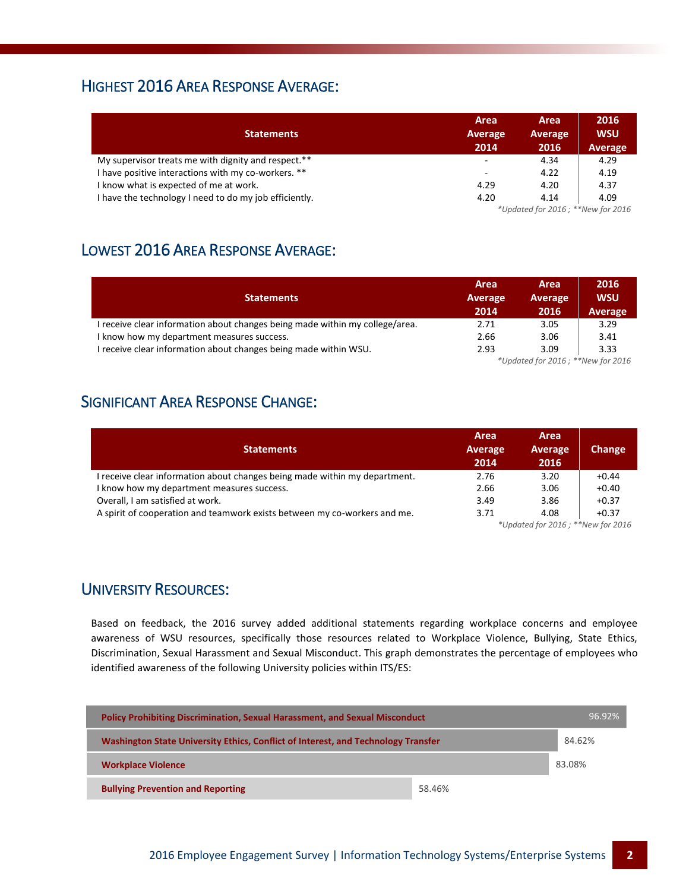#### HIGHEST 2016 AREA RESPONSE AVERAGE:

| <b>Statements</b>                                      | Area<br>Average<br>2014           | Area<br>Average<br>2016 | 2016<br><b>WSU</b><br>Average |
|--------------------------------------------------------|-----------------------------------|-------------------------|-------------------------------|
| My supervisor treats me with dignity and respect.**    | ۰                                 | 4.34                    | 4.29                          |
| I have positive interactions with my co-workers. **    | ۰                                 | 4.22                    | 4.19                          |
| I know what is expected of me at work.                 | 4.29                              | 4.20                    | 4.37                          |
| I have the technology I need to do my job efficiently. | 4.20                              | 4.14                    | 4.09                          |
|                                                        | *Updated for 2016; **New for 2016 |                         |                               |

# LOWEST 2016 AREA RESPONSE AVERAGE:

| <b>Statements</b>                                                            | Area<br>Average<br>2014 | <b>Area</b><br><b>Average</b><br>2016 | 2016<br><b>WSU</b><br>Average |
|------------------------------------------------------------------------------|-------------------------|---------------------------------------|-------------------------------|
| I receive clear information about changes being made within my college/area. | 2.71                    | 3.05                                  | 3.29                          |
| I know how my department measures success.                                   | 2.66                    | 3.06                                  | 3.41                          |
| I receive clear information about changes being made within WSU.             | 2.93                    | 3.09                                  | 3.33                          |
| *Updated for 2016; **New for 2016                                            |                         |                                       |                               |

## SIGNIFICANT AREA RESPONSE CHANGE:

| <b>Statements</b>                                                          | Area<br>Average<br>2014                              | Area<br>Average<br>2016 | <b>Change</b> |
|----------------------------------------------------------------------------|------------------------------------------------------|-------------------------|---------------|
| I receive clear information about changes being made within my department. | 2.76                                                 | 3.20                    | $+0.44$       |
| I know how my department measures success.                                 | 2.66                                                 | 3.06                    | $+0.40$       |
| Overall, I am satisfied at work.                                           | 3.49                                                 | 3.86                    | $+0.37$       |
| A spirit of cooperation and teamwork exists between my co-workers and me.  | 3.71                                                 | 4.08                    | $+0.37$       |
|                                                                            | $*$ llndated for $2016 \cdot$ $*$ $*$ New for $2016$ |                         |               |

*\*Updated for 2016 ; \*\*New for 2016*

#### UNIVERSITY RESOURCES:

Based on feedback, the 2016 survey added additional statements regarding workplace concerns and employee awareness of WSU resources, specifically those resources related to Workplace Violence, Bullying, State Ethics, Discrimination, Sexual Harassment and Sexual Misconduct. This graph demonstrates the percentage of employees who identified awareness of the following University policies within ITS/ES:

| <b>Policy Prohibiting Discrimination, Sexual Harassment, and Sexual Misconduct</b> |        | 96.92% |  |
|------------------------------------------------------------------------------------|--------|--------|--|
| Washington State University Ethics, Conflict of Interest, and Technology Transfer  |        | 84.62% |  |
| <b>Workplace Violence</b>                                                          |        | 83.08% |  |
| <b>Bullying Prevention and Reporting</b>                                           | 58.46% |        |  |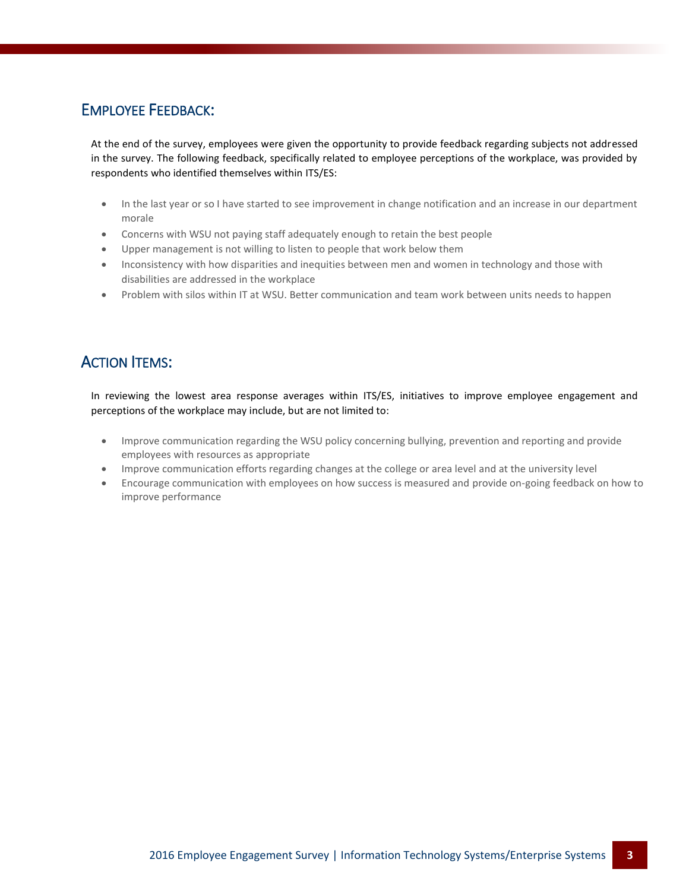#### EMPLOYEE FEEDBACK:

At the end of the survey, employees were given the opportunity to provide feedback regarding subjects not addressed in the survey. The following feedback, specifically related to employee perceptions of the workplace, was provided by respondents who identified themselves within ITS/ES:

- In the last year or so I have started to see improvement in change notification and an increase in our department morale
- Concerns with WSU not paying staff adequately enough to retain the best people
- Upper management is not willing to listen to people that work below them
- Inconsistency with how disparities and inequities between men and women in technology and those with disabilities are addressed in the workplace
- Problem with silos within IT at WSU. Better communication and team work between units needs to happen

## ACTION ITEMS:

In reviewing the lowest area response averages within ITS/ES, initiatives to improve employee engagement and perceptions of the workplace may include, but are not limited to:

- Improve communication regarding the WSU policy concerning bullying, prevention and reporting and provide employees with resources as appropriate
- Improve communication efforts regarding changes at the college or area level and at the university level
- Encourage communication with employees on how success is measured and provide on-going feedback on how to improve performance